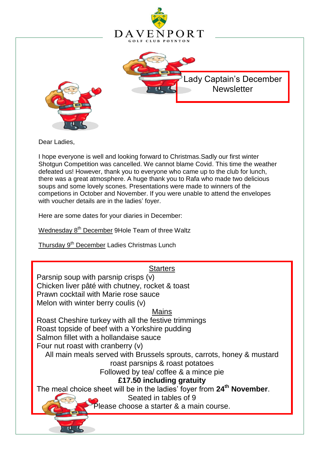

Dear Ladies,

I hope everyone is well and looking forward to Christmas.Sadly our first winter Shotgun Competition was cancelled. We cannot blame Covid. This time the weather defeated us! However, thank you to everyone who came up to the club for lunch, there was a great atmosphere. A huge thank you to Rafa who made two delicious soups and some lovely scones. Presentations were made to winners of the competions in October and November. If you were unable to attend the envelopes with voucher details are in the ladies' foyer.

Here are some dates for your diaries in December:

Wednesday 8<sup>th</sup> December 9Hole Team of three Waltz

Thursday 9<sup>th</sup> December Ladies Christmas Lunch

# **Starters**

Parsnip soup with parsnip crisps  $\overline{(v)}$ Chicken liver pâté with chutney, rocket & toast Prawn cocktail with Marie rose sauce Melon with winter berry coulis (v)

Mains

Roast Cheshire turkey with all the festive trimmings Roast topside of beef with a Yorkshire pudding Salmon fillet with a hollandaise sauce Four nut roast with cranberry (v)

All main meals served with Brussels sprouts, carrots, honey & mustard roast parsnips & roast potatoes

. Followed by tea/ coffee & a mince pie

**£17.50 including gratuity**

The meal choice sheet will be in the ladies' foyer from **24th November**.

Seated in tables of 9

Please choose a starter & a main course.